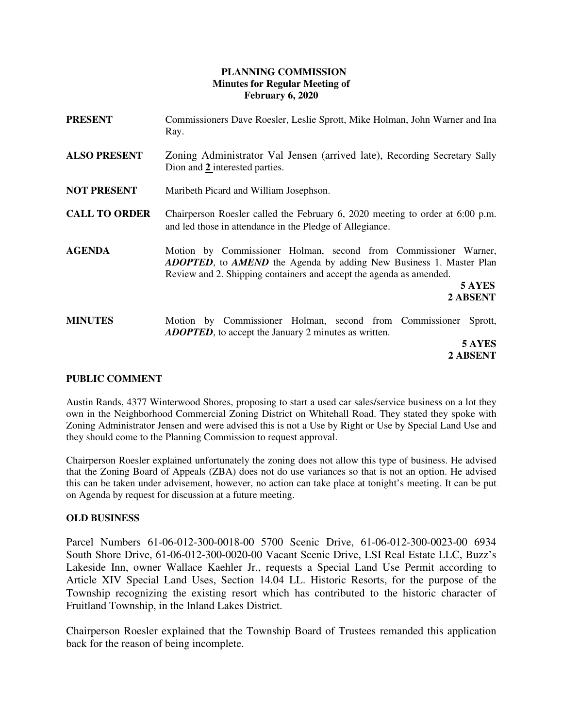# **PLANNING COMMISSION Minutes for Regular Meeting of February 6, 2020**

| <b>PRESENT</b>       | Commissioners Dave Roesler, Leslie Sprott, Mike Holman, John Warner and Ina<br>Ray.                                                                                                                                                               |
|----------------------|---------------------------------------------------------------------------------------------------------------------------------------------------------------------------------------------------------------------------------------------------|
| <b>ALSO PRESENT</b>  | Zoning Administrator Val Jensen (arrived late), Recording Secretary Sally<br>Dion and 2 interested parties.                                                                                                                                       |
| <b>NOT PRESENT</b>   | Maribeth Picard and William Josephson.                                                                                                                                                                                                            |
| <b>CALL TO ORDER</b> | Chairperson Roesler called the February 6, 2020 meeting to order at $6:00$ p.m.<br>and led those in attendance in the Pledge of Allegiance.                                                                                                       |
| <b>AGENDA</b>        | Motion by Commissioner Holman, second from Commissioner Warner,<br><b>ADOPTED</b> , to <b>AMEND</b> the Agenda by adding New Business 1. Master Plan<br>Review and 2. Shipping containers and accept the agenda as amended.<br>5 AYES<br>2 ABSENT |
| <b>MINUTES</b>       | Motion by Commissioner Holman, second from Commissioner<br>Sprott,<br><b>ADOPTED</b> , to accept the January 2 minutes as written.<br>5 AYES                                                                                                      |

**2 ABSENT** 

# **PUBLIC COMMENT**

Austin Rands, 4377 Winterwood Shores, proposing to start a used car sales/service business on a lot they own in the Neighborhood Commercial Zoning District on Whitehall Road. They stated they spoke with Zoning Administrator Jensen and were advised this is not a Use by Right or Use by Special Land Use and they should come to the Planning Commission to request approval.

Chairperson Roesler explained unfortunately the zoning does not allow this type of business. He advised that the Zoning Board of Appeals (ZBA) does not do use variances so that is not an option. He advised this can be taken under advisement, however, no action can take place at tonight's meeting. It can be put on Agenda by request for discussion at a future meeting.

# **OLD BUSINESS**

Parcel Numbers 61-06-012-300-0018-00 5700 Scenic Drive, 61-06-012-300-0023-00 6934 South Shore Drive, 61-06-012-300-0020-00 Vacant Scenic Drive, LSI Real Estate LLC, Buzz's Lakeside Inn, owner Wallace Kaehler Jr., requests a Special Land Use Permit according to Article XIV Special Land Uses, Section 14.04 LL. Historic Resorts, for the purpose of the Township recognizing the existing resort which has contributed to the historic character of Fruitland Township, in the Inland Lakes District.

Chairperson Roesler explained that the Township Board of Trustees remanded this application back for the reason of being incomplete.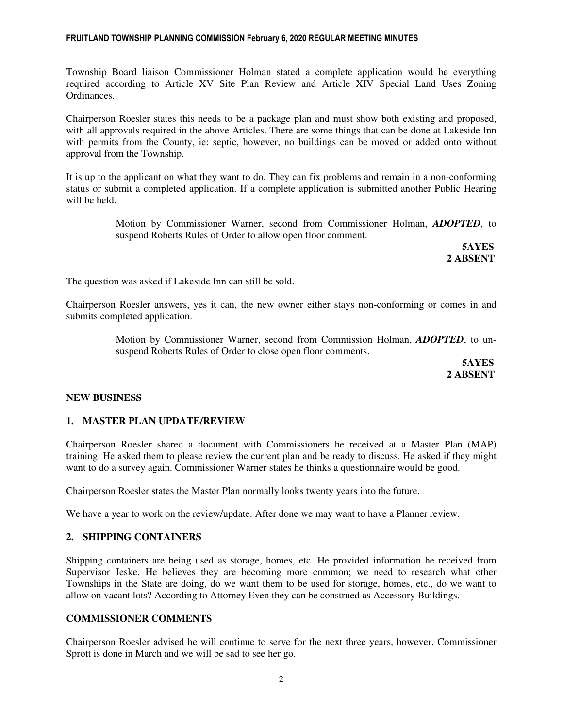#### FRUITLAND TOWNSHIP PLANNING COMMISSION February 6, 2020 REGULAR MEETING MINUTES

Township Board liaison Commissioner Holman stated a complete application would be everything required according to Article XV Site Plan Review and Article XIV Special Land Uses Zoning Ordinances.

Chairperson Roesler states this needs to be a package plan and must show both existing and proposed, with all approvals required in the above Articles. There are some things that can be done at Lakeside Inn with permits from the County, ie: septic, however, no buildings can be moved or added onto without approval from the Township.

It is up to the applicant on what they want to do. They can fix problems and remain in a non-conforming status or submit a completed application. If a complete application is submitted another Public Hearing will be held.

> Motion by Commissioner Warner, second from Commissioner Holman, *ADOPTED*, to suspend Roberts Rules of Order to allow open floor comment.

> **5AYES 2 ABSENT**

The question was asked if Lakeside Inn can still be sold.

Chairperson Roesler answers, yes it can, the new owner either stays non-conforming or comes in and submits completed application.

> Motion by Commissioner Warner, second from Commission Holman, *ADOPTED*, to unsuspend Roberts Rules of Order to close open floor comments.

> **5AYES 2 ABSENT**

# **NEW BUSINESS**

# **1. MASTER PLAN UPDATE/REVIEW**

Chairperson Roesler shared a document with Commissioners he received at a Master Plan (MAP) training. He asked them to please review the current plan and be ready to discuss. He asked if they might want to do a survey again. Commissioner Warner states he thinks a questionnaire would be good.

Chairperson Roesler states the Master Plan normally looks twenty years into the future.

We have a year to work on the review/update. After done we may want to have a Planner review.

# **2. SHIPPING CONTAINERS**

Shipping containers are being used as storage, homes, etc. He provided information he received from Supervisor Jeske. He believes they are becoming more common; we need to research what other Townships in the State are doing, do we want them to be used for storage, homes, etc., do we want to allow on vacant lots? According to Attorney Even they can be construed as Accessory Buildings.

# **COMMISSIONER COMMENTS**

Chairperson Roesler advised he will continue to serve for the next three years, however, Commissioner Sprott is done in March and we will be sad to see her go.